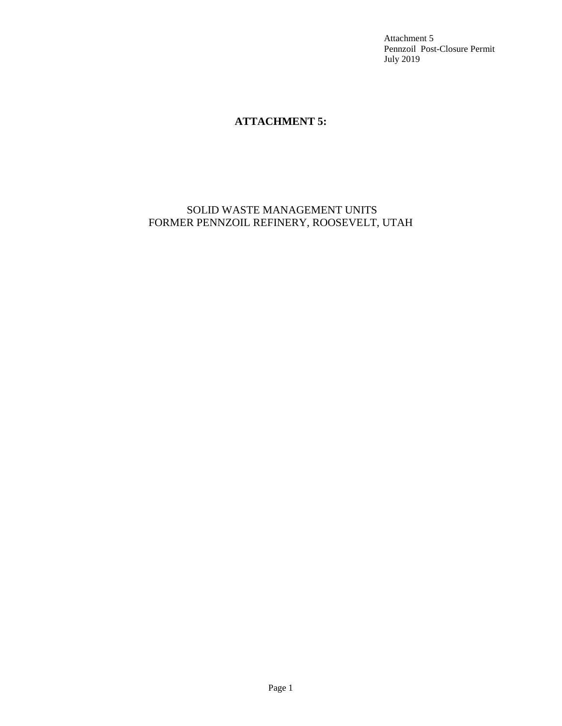Attachment 5 Pennzoil Post-Closure Permit July 2019

## **ATTACHMENT 5:**

## SOLID WASTE MANAGEMENT UNITS FORMER PENNZOIL REFINERY, ROOSEVELT, UTAH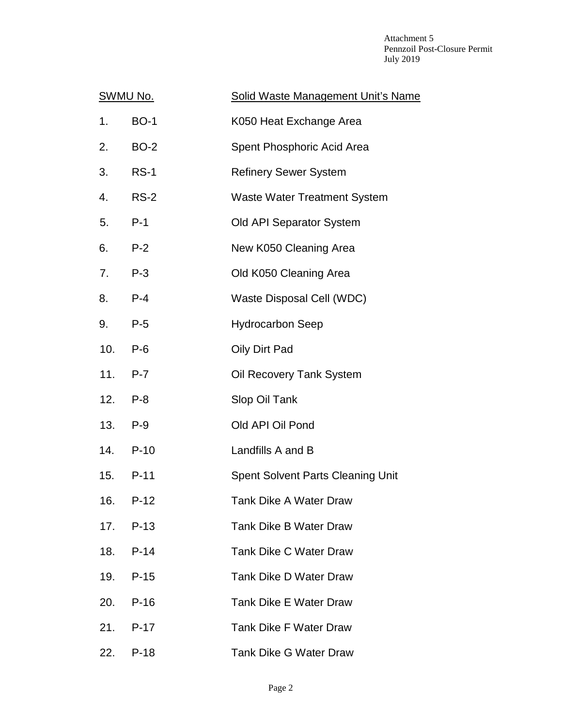Attachment 5 Pennzoil Post-Closure Permit July 2019

| <u>SWMU No.</u> |             | Solid Waste Management Unit's Name       |
|-----------------|-------------|------------------------------------------|
| 1.              | <b>BO-1</b> | K050 Heat Exchange Area                  |
| 2.              | <b>BO-2</b> | Spent Phosphoric Acid Area               |
| 3.              | <b>RS-1</b> | <b>Refinery Sewer System</b>             |
| 4.              | <b>RS-2</b> | <b>Waste Water Treatment System</b>      |
| 5.              | $P-1$       | Old API Separator System                 |
| 6.              | $P-2$       | New K050 Cleaning Area                   |
| 7.              | $P-3$       | Old K050 Cleaning Area                   |
| 8.              | $P-4$       | Waste Disposal Cell (WDC)                |
| 9.              | $P-5$       | <b>Hydrocarbon Seep</b>                  |
| 10.             | $P-6$       | Oily Dirt Pad                            |
| 11.             | $P-7$       | Oil Recovery Tank System                 |
| 12.             | $P-8$       | Slop Oil Tank                            |
| 13.             | $P-9$       | Old API Oil Pond                         |
|                 | 14. P-10    | Landfills A and B                        |
| 15.             | $P-11$      | <b>Spent Solvent Parts Cleaning Unit</b> |
| 16.             | $P-12$      | <b>Tank Dike A Water Draw</b>            |
| 17.             | $P-13$      | <b>Tank Dike B Water Draw</b>            |
| 18.             | $P-14$      | <b>Tank Dike C Water Draw</b>            |
| 19.             | $P-15$      | Tank Dike D Water Draw                   |
| 20.             | $P-16$      | <b>Tank Dike E Water Draw</b>            |
| 21.             | $P-17$      | <b>Tank Dike F Water Draw</b>            |
| 22.             | $P-18$      | <b>Tank Dike G Water Draw</b>            |